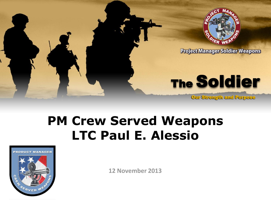

## **PM Crew Served Weapons LTC Paul E. Alessio**



**12 November 2013**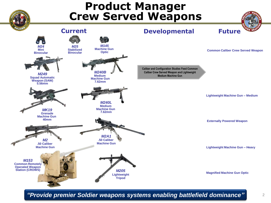

*"Provide premier Soldier weapons systems enabling battlefield dominance"*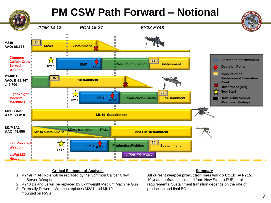## **PM CSW Path Forward – Notional**



## **Critical Elements of Analysis**

- 1. M249s in AR Role will be replaced by the Common Caliber Crew Served Weapon
- 2. M240 Bs and Ls will be replaced by Lightweight Medium Machine Gun
- 3. Externally Powered Weapon replaces M2A1 and MK19 mounted on RWS

## **Summary**

**All current weapon production lines will go COLD by FY15.** 

10 year timeframe estimated from New Start to FUE for all requirements. Sustainment transition depends on the rate of production and final BOI.